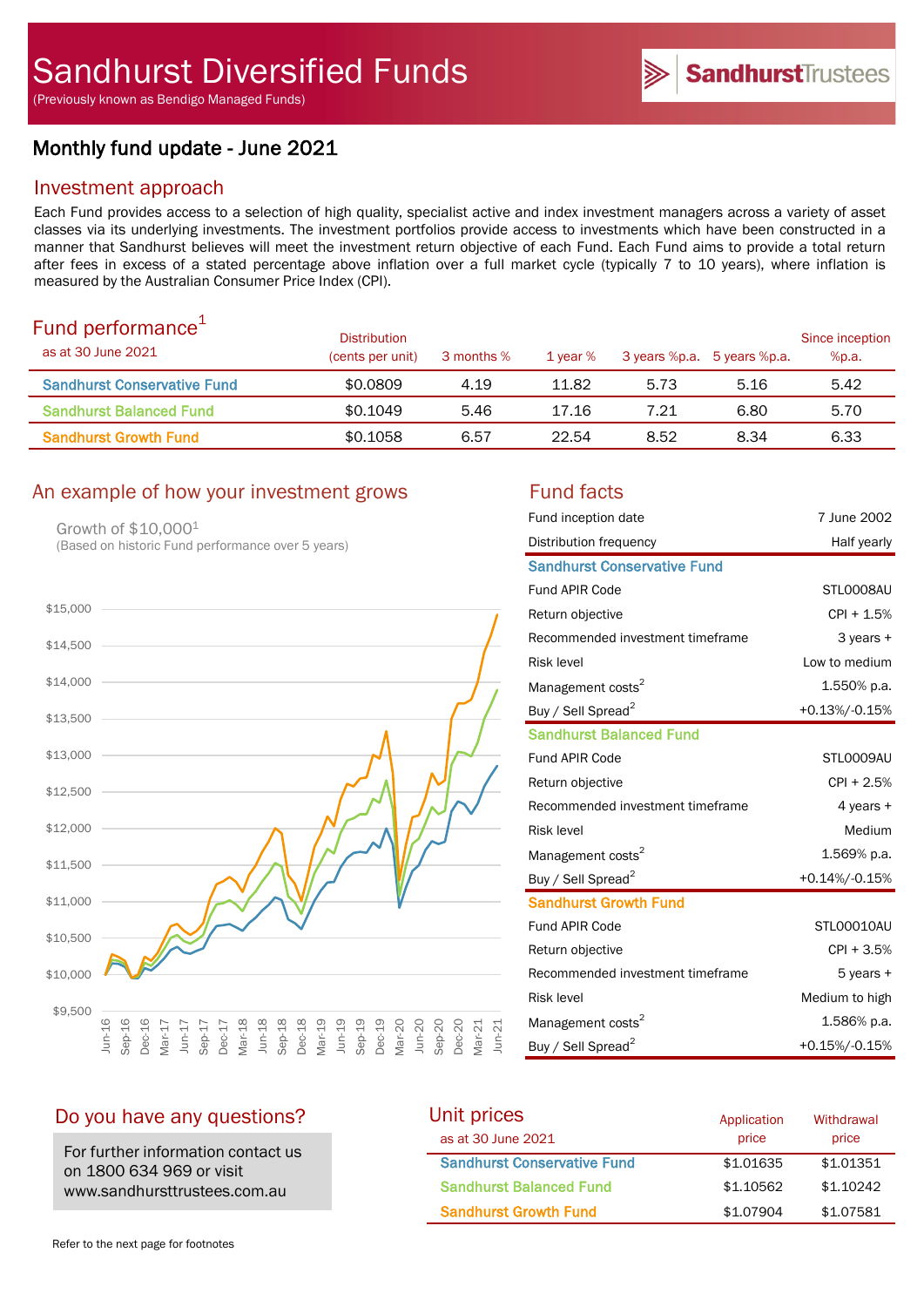(Previously known as Bendigo Managed Funds)

# Monthly fund update - June 2021

## Investment approach

Each Fund provides access to a selection of high quality, specialist active and index investment managers across a variety of asset classes via its underlying investments. The investment portfolios provide access to investments which have been constructed in a manner that Sandhurst believes will meet the investment return objective of each Fund. Each Fund aims to provide a total return after fees in excess of a stated percentage above inflation over a full market cycle (typically 7 to 10 years), where inflation is measured by the Australian Consumer Price Index (CPI).

| Fund performance <sup>+</sup><br>as at 30 June 2021 | <b>Distribution</b><br>(cents per unit) | 3 months % | 1 year % |      | 3 years %p.a. 5 years %p.a. | Since inception<br>%p.a. |
|-----------------------------------------------------|-----------------------------------------|------------|----------|------|-----------------------------|--------------------------|
| <b>Sandhurst Conservative Fund</b>                  | \$0.0809                                | 4.19       | 11.82    | 5.73 | 5.16                        | 5.42                     |
| <b>Sandhurst Balanced Fund</b>                      | \$0.1049                                | 5.46       | 17.16    | 7.21 | 6.80                        | 5.70                     |
| <b>Sandhurst Growth Fund</b>                        | \$0.1058                                | 6.57       | 22.54    | 8.52 | 8.34                        | 6.33                     |

## An example of how your investment grows Fund facts

Growth of \$10,0001 (Based on historic Fund performance over 5 years)



| Fund inception date                | 7 June 2002    |
|------------------------------------|----------------|
| Distribution frequency             | Half yearly    |
| <b>Sandhurst Conservative Fund</b> |                |
| Fund APIR Code                     | STL0008AU      |
| Return objective                   | $CPI + 1.5%$   |
| Recommended investment timeframe   | 3 years +      |
| <b>Risk level</b>                  | Low to medium  |
| Management costs <sup>2</sup>      | 1.550% p.a.    |
| Buy / Sell Spread <sup>2</sup>     | +0.13%/-0.15%  |
| <b>Sandhurst Balanced Fund</b>     |                |
| Fund APIR Code                     | STLO009AU      |
| Return objective                   | CPI + 2.5%     |
| Recommended investment timeframe   | 4 years +      |
| <b>Risk level</b>                  | Medium         |
| Management costs <sup>2</sup>      | 1.569% p.a.    |
| Buy / Sell Spread <sup>2</sup>     | +0.14%/-0.15%  |
| <b>Sandhurst Growth Fund</b>       |                |
| <b>Fund APIR Code</b>              | STL00010AU     |
| Return objective                   | $CPI + 3.5%$   |
| Recommended investment timeframe   | 5 years +      |
| <b>Risk level</b>                  | Medium to high |
| Management costs <sup>2</sup>      | 1.586% p.a.    |
| Buy / Sell Spread <sup>2</sup>     | +0.15%/-0.15%  |

## Do you have any questions?

For further information contact us on 1800 634 969 or visit www.sandhursttrustees.com.au

| Unit prices                        | Application | Withdrawal |  |
|------------------------------------|-------------|------------|--|
| as at 30 June 2021                 | price       | price      |  |
| <b>Sandhurst Conservative Fund</b> | \$1,01635   | \$1,01351  |  |
| <b>Sandhurst Balanced Fund</b>     | \$1,10562   | \$1,10242  |  |
| <b>Sandhurst Growth Fund</b>       | \$1,07904   | \$1,07581  |  |